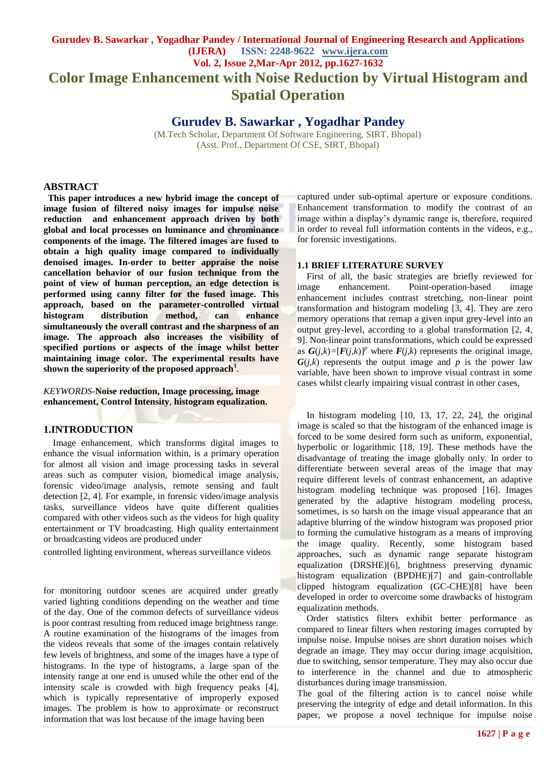# **Gurudev B. Sawarkar , Yogadhar Pandey / International Journal of Engineering Research and Applications (IJERA) ISSN: 2248-9622 www.ijera.com Vol. 2, Issue 2,Mar-Apr 2012, pp.1627-1632 Color Image Enhancement with Noise Reduction by Virtual Histogram and Spatial Operation**

**Gurudev B. Sawarkar , Yogadhar Pandey**

(M.Tech Scholar, Department Of Software Engineering, SIRT, Bhopal) (Asst. Prof., Department Of CSE, SIRT, Bhopal)

### **ABSTRACT**

**This paper introduces a new hybrid image the concept of image fusion of filtered noisy images for impulse noise reduction and enhancement approach driven by both global and local processes on luminance and chrominance components of the image. The filtered images are fused to obtain a high quality image compared to individually denoised images. In-order to better appraise the noise cancellation behavior of our fusion technique from the point of view of human perception, an edge detection is performed using canny filter for the fused image. This approach, based on the parameter-controlled virtual histogram distribution method, can enhance simultaneously the overall contrast and the sharpness of an image. The approach also increases the visibility of specified portions or aspects of the image whilst better maintaining image color. The experimental results have shown the superiority of the proposed approach<sup>1</sup>** .

*KEYWORDS-***Noise reduction, Image processing, image enhancement, Control Intensity***,* **histogram equalization.**

# **1.INTRODUCTION**

Image enhancement, which transforms digital images to enhance the visual information within, is a primary operation for almost all vision and image processing tasks in several areas such as computer vision, biomedical image analysis, forensic video/image analysis, remote sensing and fault detection [2, 4]. For example, in forensic video/image analysis tasks, surveillance videos have quite different qualities compared with other videos such as the videos for high quality entertainment or TV broadcasting. High quality entertainment or broadcasting videos are produced under

controlled lighting environment, whereas surveillance videos

for monitoring outdoor scenes are acquired under greatly varied lighting conditions depending on the weather and time of the day. One of the common defects of surveillance videos is poor contrast resulting from reduced image brightness range. A routine examination of the histograms of the images from the videos reveals that some of the images contain relatively few levels of brightness, and some of the images have a type of histograms. In the type of histograms, a large span of the intensity range at one end is unused while the other end of the intensity scale is crowded with high frequency peaks [4], which is typically representative of improperly exposed images. The problem is how to approximate or reconstruct information that was lost because of the image having been

captured under sub-optimal aperture or exposure conditions. Enhancement transformation to modify the contrast of an image within a display's dynamic range is, therefore, required in order to reveal full information contents in the videos, e.g., for forensic investigations.

#### **1.1 BRIEF LITERATURE SURVEY**

First of all, the basic strategies are briefly reviewed for image enhancement. Point-operation-based image enhancement includes contrast stretching, non-linear point transformation and histogram modeling [3, 4]. They are zero memory operations that remap a given input grey-level into an output grey-level, according to a global transformation [2, 4, 9]. Non-linear point transformations, which could be expressed as  $G(j,k)=[F(j,k)]^p$  where  $F(j,k)$  represents the original image,  $G(i,k)$  represents the output image and *p* is the power law variable, have been shown to improve visual contrast in some cases whilst clearly impairing visual contrast in other cases,

In histogram modeling [10, 13, 17, 22, 24], the original image is scaled so that the histogram of the enhanced image is forced to be some desired form such as uniform, exponential, hyperbolic or logarithmic [18, 19]. These methods have the disadvantage of treating the image globally only. In order to differentiate between several areas of the image that may require different levels of contrast enhancement, an adaptive histogram modeling technique was proposed [16]. Images generated by the adaptive histogram modeling process, sometimes, is so harsh on the image visual appearance that an adaptive blurring of the window histogram was proposed prior to forming the cumulative histogram as a means of improving the image quality. Recently, some histogram based approaches, such as dynamic range separate histogram equalization (DRSHE)[6], brightness preserving dynamic histogram equalization (BPDHE)[7] and gain-controllable clipped histogram equalization (GC-CHE)[8] have been developed in order to overcome some drawbacks of histogram equalization methods.

Order statistics filters exhibit better performance as compared to linear filters when restoring images corrupted by impulse noise. Impulse noises are short duration noises which degrade an image. They may occur during image acquisition, due to switching, sensor temperature. They may also occur due to interference in the channel and due to atmospheric disturbances during image transmission.

The goal of the filtering action is to cancel noise while preserving the integrity of edge and detail information. In this paper, we propose a novel technique for impulse noise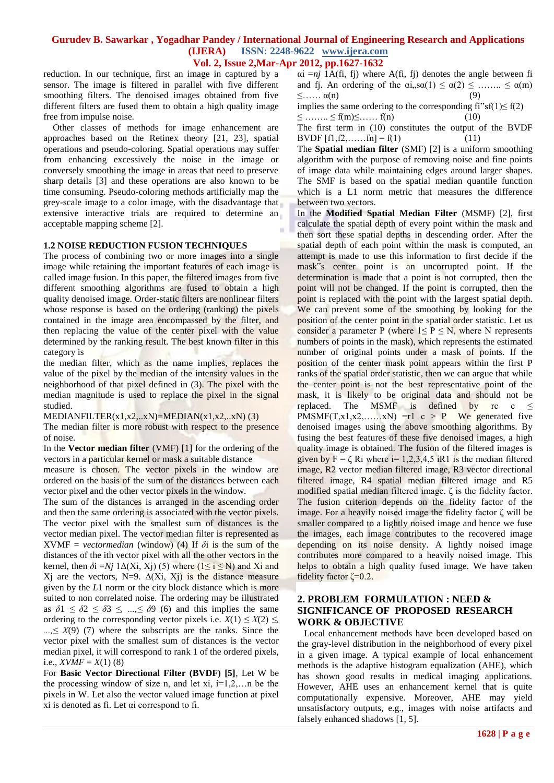reduction. In our technique, first an image in captured by a sensor. The image is filtered in parallel with five different smoothing filters. The denoised images obtained from five different filters are fused them to obtain a high quality image free from impulse noise.

Other classes of methods for image enhancement are approaches based on the Retinex theory [21, 23], spatial operations and pseudo-coloring. Spatial operations may suffer from enhancing excessively the noise in the image or conversely smoothing the image in areas that need to preserve sharp details [3] and these operations are also known to be time consuming. Pseudo-coloring methods artificially map the grey-scale image to a color image, with the disadvantage that extensive interactive trials are required to determine an acceptable mapping scheme [2].

### **1.2 NOISE REDUCTION FUSION TECHNIQUES**

The process of combining two or more images into a single image while retaining the important features of each image is called image fusion. In this paper, the filtered images from five different smoothing algorithms are fused to obtain a high quality denoised image. Order-static filters are nonlinear filters whose response is based on the ordering (ranking) the pixels contained in the image area encompassed by the filter, and then replacing the value of the center pixel with the value determined by the ranking result. The best known filter in this category is

the median filter, which as the name implies, replaces the value of the pixel by the median of the intensity values in the neighborhood of that pixel defined in (3). The pixel with the median magnitude is used to replace the pixel in the signal studied.

MEDIANFILTER $(x1, x2, ...xN)$ =MEDIAN $(x1, x2, ...xN)$  (3) The median filter is more robust with respect to the presence of noise.

In the **Vector median filter** (VMF) [1] for the ordering of the vectors in a particular kernel or mask a suitable distance

measure is chosen. The vector pixels in the window are ordered on the basis of the sum of the distances between each vector pixel and the other vector pixels in the window.

The sum of the distances is arranged in the ascending order and then the same ordering is associated with the vector pixels. The vector pixel with the smallest sum of distances is the vector median pixel. The vector median filter is represented as  $XVMF = *vectormedian* (window) (4) If  $\delta i$  is the sum of the$ distances of the ith vector pixel with all the other vectors in the kernel, then  $\delta$ i =*Ni* 1 $\Delta$ (Xi, Xi) (5) where (1< i < N) and Xi and X<sub>j</sub> are the vectors, N=9.  $\Delta$ (X<sub>i</sub>, X<sub>j</sub>) is the distance measure given by the *L*1 norm or the city block distance which is more suited to non correlated noise. The ordering may be illustrated as  $\delta$ 1  $\leq \delta$ 2  $\leq \delta$ 3  $\leq$  ...,  $\leq \delta$ 9 (6) and this implies the same ordering to the corresponding vector pixels i.e.  $X(1) \leq X(2) \leq$ *...,≤ X*(9) (7) where the subscripts are the ranks. Since the vector pixel with the smallest sum of distances is the vector median pixel, it will correspond to rank 1 of the ordered pixels, i.e.,  $XVMF = X(1)$  (8)

For **Basic Vector Directional Filter (BVDF) [5]**, Let W be the processing window of size n, and let  $xi$ ,  $i=1,2,...$  be the pixels in W. Let also the vector valued image function at pixel xi is denoted as fi. Let αi correspond to fi.

 $\alpha$ i =*nj* 1A(fi, fj) where A(fi, fj) denotes the angle between fi and fj. An ordering of the  $\alpha i$ ,  $s\alpha(1) \leq \alpha(2) \leq \dots \leq \alpha(m)$  $\leq$ .....  $\alpha(n)$  (9)

implies the same ordering to the corresponding fi"sf(1) $\leq$  f(2)  $\leq$  ……..  $\leq$  f(m)≤…… f(n) (10)

The first term in (10) constitutes the output of the BVDF BVDF  $[f1, f2, \ldots, fr] = f(1)$  (11)

The **Spatial median filter** (SMF) [2] is a uniform smoothing algorithm with the purpose of removing noise and fine points of image data while maintaining edges around larger shapes. The SMF is based on the spatial median quantile function which is a L1 norm metric that measures the difference between two vectors.

In the **Modified Spatial Median Filter** (MSMF) [2], first calculate the spatial depth of every point within the mask and then sort these spatial depths in descending order. After the spatial depth of each point within the mask is computed, an attempt is made to use this information to first decide if the mask"s center point is an uncorrupted point. If the determination is made that a point is not corrupted, then the point will not be changed. If the point is corrupted, then the point is replaced with the point with the largest spatial depth. We can prevent some of the smoothing by looking for the position of the center point in the spatial order statistic. Let us consider a parameter P (where  $1 \le P \le N$ , where N represents numbers of points in the mask), which represents the estimated number of original points under a mask of points. If the position of the center mask point appears within the first P ranks of the spatial order statistic, then we can argue that while the center point is not the best representative point of the mask, it is likely to be original data and should not be replaced. The MSMF is defined by rc c  $\leq$  $PMSMF(T, x1, x2, \ldots, xN)$  =r1 c > P We generated five denoised images using the above smoothing algorithms. By fusing the best features of these five denoised images, a high quality image is obtained. The fusion of the filtered images is given by  $F = \zeta$  Ri where i= 1,2,3,4,5 iR1 is the median filtered image, R2 vector median filtered image, R3 vector directional filtered image, R4 spatial median filtered image and R5 modified spatial median filtered image. ζ is the fidelity factor. The fusion criterion depends on the fidelity factor of the image. For a heavily noised image the fidelity factor ζ will be smaller compared to a lightly noised image and hence we fuse the images, each image contributes to the recovered image depending on its noise density. A lightly noised image contributes more compared to a heavily noised image. This helps to obtain a high quality fused image. We have taken fidelity factor ζ=0.2.

# **2. PROBLEM FORMULATION : NEED & SIGNIFICANCE OF PROPOSED RESEARCH WORK & OBJECTIVE**

Local enhancement methods have been developed based on the gray-level distribution in the neighborhood of every pixel in a given image. A typical example of local enhancement methods is the adaptive histogram equalization (AHE), which has shown good results in medical imaging applications. However, AHE uses an enhancement kernel that is quite computationally expensive. Moreover, AHE may yield unsatisfactory outputs, e.g., images with noise artifacts and falsely enhanced shadows [1, 5].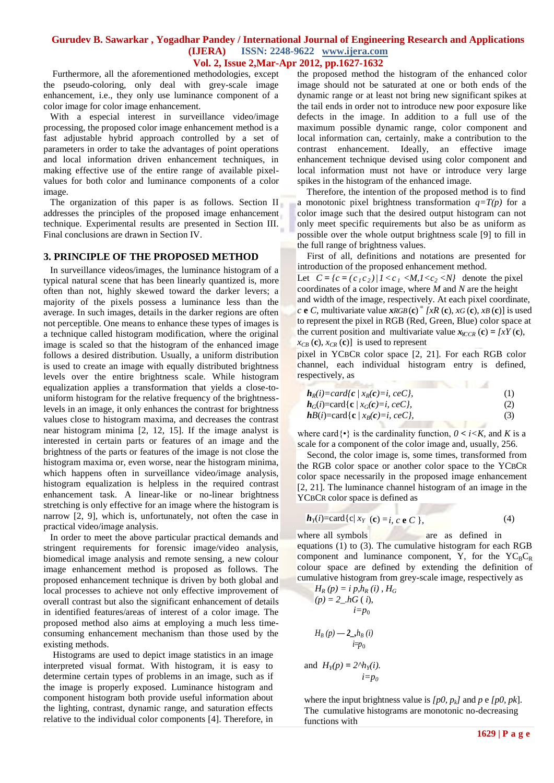Furthermore, all the aforementioned methodologies, except the pseudo-coloring, only deal with grey-scale image enhancement, i.e., they only use luminance component of a color image for color image enhancement.

With a especial interest in surveillance video/image processing, the proposed color image enhancement method is a fast adjustable hybrid approach controlled by a set of parameters in order to take the advantages of point operations and local information driven enhancement techniques, in making effective use of the entire range of available pixelvalues for both color and luminance components of a color image.

The organization of this paper is as follows. Section II addresses the principles of the proposed image enhancement technique. Experimental results are presented in Section III. Final conclusions are drawn in Section IV.

#### **3. PRINCIPLE OF THE PROPOSED METHOD**

In surveillance videos/images, the luminance histogram of a typical natural scene that has been linearly quantized is, more often than not, highly skewed toward the darker levers; a majority of the pixels possess a luminance less than the average. In such images, details in the darker regions are often not perceptible. One means to enhance these types of images is a technique called histogram modification, where the original image is scaled so that the histogram of the enhanced image follows a desired distribution. Usually, a uniform distribution is used to create an image with equally distributed brightness levels over the entire brightness scale. While histogram equalization applies a transformation that yields a close-touniform histogram for the relative frequency of the brightnesslevels in an image, it only enhances the contrast for brightness values close to histogram maxima, and decreases the contrast near histogram minima [2, 12, 15]. If the image analyst is interested in certain parts or features of an image and the brightness of the parts or features of the image is not close the histogram maxima or, even worse, near the histogram minima, which happens often in surveillance video/image analysis, histogram equalization is helpless in the required contrast enhancement task. A linear-like or no-linear brightness stretching is only effective for an image where the histogram is narrow [2, 9], which is, unfortunately, not often the case in practical video/image analysis.

In order to meet the above particular practical demands and stringent requirements for forensic image/video analysis, biomedical image analysis and remote sensing, a new colour image enhancement method is proposed as follows. The proposed enhancement technique is driven by both global and local processes to achieve not only effective improvement of overall contrast but also the significant enhancement of details in identified features/areas of interest of a color image. The proposed method also aims at employing a much less timeconsuming enhancement mechanism than those used by the existing methods.

Histograms are used to depict image statistics in an image interpreted visual format. With histogram, it is easy to determine certain types of problems in an image, such as if the image is properly exposed. Luminance histogram and component histogram both provide useful information about the lighting, contrast, dynamic range, and saturation effects relative to the individual color components [4]. Therefore, in

the proposed method the histogram of the enhanced color image should not be saturated at one or both ends of the dynamic range or at least not bring new significant spikes at the tail ends in order not to introduce new poor exposure like defects in the image. In addition to a full use of the maximum possible dynamic range, color component and local information can, certainly, make a contribution to the contrast enhancement. Ideally, an effective image enhancement technique devised using color component and local information must not have or introduce very large spikes in the histogram of the enhanced image.

Therefore, the intention of the proposed method is to find a monotonic pixel brightness transformation  $q=T(p)$  for a color image such that the desired output histogram can not only meet specific requirements but also be as uniform as possible over the whole output brightness scale [9] to fill in the full range of brightness values.

First of all, definitions and notations are presented for introduction of the proposed enhancement method.

Let  $C = \{c = (c_1c_2)/1 < c_1 < M, 1 < c_2 < N\}$  denote the pixel coordinates of a color image, where *M* and *N* are the height and width of the image, respectively. At each pixel coordinate, *c* **e** *C*, multivariate value *xRGB* (**c**)  $=$   $[xR (c), xG (c), xB (c)]$  is used to represent the pixel in RGB (Red, Green, Blue) color space at the current position and multivariate value  $\mathbf{x}_{\text{yCCR}}(\mathbf{c}) = [xY(\mathbf{c}),$  $x_{CB}$  (c),  $x_{CR}$  (c)] is used to represent

pixel in YCBCR color space [2, 21]. For each RGB color channel, each individual histogram entry is defined, respectively, as the property of the control of

$$
\boldsymbol{h}_R(i) = card\{\boldsymbol{c} \mid x_R(\boldsymbol{c}) = i, \, c\boldsymbol{e}C\},\tag{1}
$$

$$
\boldsymbol{h}_G(i)=\text{card}\{\mathbf{c} \mid x_G(\boldsymbol{c})=i, \ c e C\},\tag{2}
$$

$$
h(t) = \text{card}\{\mathbf{c} \mid x_B(c) = i, ceC\},\tag{3}
$$

where card $\{\bullet\}$  is the cardinality function,  $0 \le i \le K$ , and K is a scale for a component of the color image and, usually, 256.

Second, the color image is, some times, transformed from the RGB color space or another color space to the YCBCR color space necessarily in the proposed image enhancement [2, 21]. The luminance channel histogram of an image in the YCBCR color space is defined as

$$
\boldsymbol{h}_Y(i)=\text{card}\{c|\,x_Y\,\left(\mathbf{c}\right)=i,\,c\,\mathbf{e}\,\,C\,\},\tag{4}
$$

where all symbols are as defined in equations (1) to (3). The cumulative histogram for each RGB component and luminance component, Y, for the  $YC<sub>B</sub>C<sub>R</sub>$ colour space are defined by extending the definition of cumulative histogram from grey-scale image, respectively as

$$
H_R(p) = i p, h_R(i), H_G
$$
  
(p) = 2<sub>-</sub>.*hG* (*i*),  
 $i=p_0$   

$$
H_B(p) - 2-, h_B(i)
$$
  
 $i=p_0$ 

and 
$$
H_Y(p) = 2^h(y/i)
$$
.  
 $i=p_0$ 

where the input brightness value is  $[p0, p_k]$  and  $p \in [p0, pk]$ . The cumulative histograms are monotonic no-decreasing functions with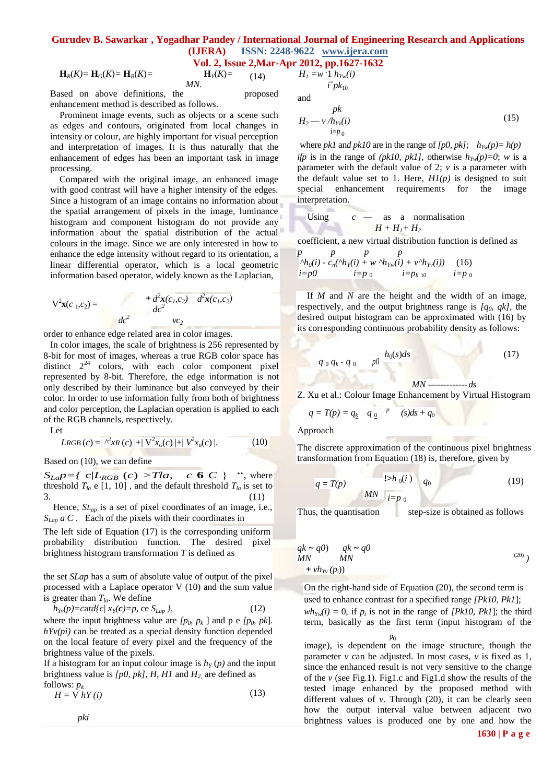and

$$
\mathbf{H}_R(K)=\mathbf{H}_G(K)=\mathbf{H}_B(K)=
$$
 
$$
\mathbf{H}_Y(K)=
$$

 $(14)$ 

$$
MN.\n\nproposed
$$

Based on above definitions, the prop enhancement method is described as follows.

Prominent image events, such as objects or a scene such as edges and contours, originated from local changes in intensity or colour, are highly important for visual perception and interpretation of images. It is thus naturally that the enhancement of edges has been an important task in image processing.

Compared with the original image, an enhanced image with good contrast will have a higher intensity of the edges. Since a histogram of an image contains no information about the spatial arrangement of pixels in the image, luminance histogram and component histogram do not provide any information about the spatial distribution of the actual colours in the image. Since we are only interested in how to enhance the edge intensity without regard to its orientation, a linear differential operator, which is a local geometric information based operator, widely known as the Laplacian,

$$
V^{2}x(c_{1},c_{2}) = \frac{+d^{2}x(c_{1},c_{2})}{dc^{2}} - \frac{d^{2}x(c_{1},c_{2})}{vc_{2}}
$$

order to enhance edge related area in color images.

In color images, the scale of brightness is 256 represented by 8-bit for most of images, whereas a true RGB color space has distinct  $2^{24}$  colors, with each color component pixel represented by 8-bit. Therefore, the edge information is not only described by their luminance but also conveyed by their color. In order to use information fully from both of brightness and color perception, the Laplacian operation is applied to each of the RGB channels, respectively.

Let

$$
LRGB(c) = |\Lambda^2 xR(c)| + |\mathbf{V}^2 x_o(c)| + |\mathbf{V}^2 x_b(c)|. \tag{10}
$$

Based on (10), we can define

*SLap={* c|*LRGB* (*c*) *>Tla, c* **6** *C* } ", where threshold  $T_{la}$  e [1, 10], and the default threshold  $T_{la}$  is set to 3.  $(11)$ 

Hence, *SLap* is a set of pixel coordinates of an image, i.e., *SLap a C* . Each of the pixels with their coordinates in

The left side of Equation (17) is the corresponding uniform probability distribution function. The desired pixel brightness histogram transformation *T* is defined as

the set *SLap* has a sum of absolute value of output of the pixel processed with a Laplace operator V (10) and the sum value is greater than  $T_{la}$ . We define

$$
h_{Yv}(p)=card\{c/x_Y(c)=p, ce S_{Lap}\},\qquad(12)
$$

where the input brightness value are  $[p_0, p_k]$  and p e  $[p_0, pk]$ . *hYv(pi)* can be treated as a special density function depended on the local feature of every pixel and the frequency of the brightness value of the pixels.

If a histogram for an input colour image is  $h_Y(p)$  and the input brightness value is *[p0, pk], H, H1* and *H2,* are defined as follows: *p<sup>k</sup>*

$$
H = \hat{\nabla} \hat{h} Y(i) \tag{13}
$$

$$
H_1 = w \cdot \hat{1} h_{Yw}(i)
$$
  
\n $i = pk_{10}$   
\nand

$$
H_2 - v \frac{pk}{2p_0}
$$
 (15)

where *pk1* and *pk10* are in the range of  $[p0, pk]$ ;  $h_{Yw}(p) = h(p)$ *ifp* is in the range of *(pk10, pk1]*, otherwise  $h_{Yw}(p)=0$ ; *w* is a parameter with the default value of 2; *v* is a parameter with the default value set to 1. Here,  $HI(p)$  is designed to suit special enhancement requirements for the image interpretation.

Using 
$$
c
$$
 — as a normalisation  
 $H + H_1 + H_2$ 

coefficient, a new virtual distribution function is defined as

*p p p p*  $\gamma h_0(i) - c_n(\gamma h_Y(i) + w \gamma h_{Yw}(i) + v \gamma h_{Yv}(i))$  (16) *i*=*p*<sup>0</sup> *i*=*p*<sub>0</sub> *i*=*p*<sub>k</sub><sub>10</sub> *i*=*p*<sub>0</sub>

If *M* and *N* are the height and the width of an image, respectively, and the output brightness range is *[q0, qk],* the desired output histogram can be approximated with (16) by its corresponding continuous probability density as follows:

$$
q_0 q_k - q_0 \qquad p_0 \qquad h_0(s) ds \tag{17}
$$

*MN* ------------- *ds*  Z. Xu et al.: Colour Image Enhancement by Virtual Histogram

 $q = T(p) = q_k \quad q_0 \quad p \quad (s)ds + q_0$ 

Approach

The discrete approximation of the continuous pixel brightness transformation from Equation (18) is, therefore, given by

$$
q = T(p) \qquad \qquad \text{(19)}
$$
\n
$$
MN \mid_{i=p_0}^{1>b_0(i) \mid q_0}
$$

Thus, the quantisation step-size is obtained as follows

$$
qk \sim q0 \qquad qk \sim q0
$$
  
\n
$$
MN \qquad MN \qquad (20)
$$
  
\n
$$
+ v h_{Y_V}(p_i)
$$

On the right-hand side of Equation (20), the second term is used to enhance contrast for a specified range *[Pk10, Pk1*];  $wh_{Yw}(i) = 0$ , if  $p_i$  is not in the range of *[Pk10, Pk1*]; the third term, basically as the first term (input histogram of the

image), is dependent on the image structure, though the parameter *v* can be adjusted. In most cases, *v* is fixed as 1, since the enhanced result is not very sensitive to the change of the *v* (see Fig.1). Fig1.c and Fig1.d show the results of the tested image enhanced by the proposed method with different values of *v*. Through (20), it can be clearly seen how the output interval value between adjacent two brightness values is produced one by one and how the  $p<sub>0</sub>$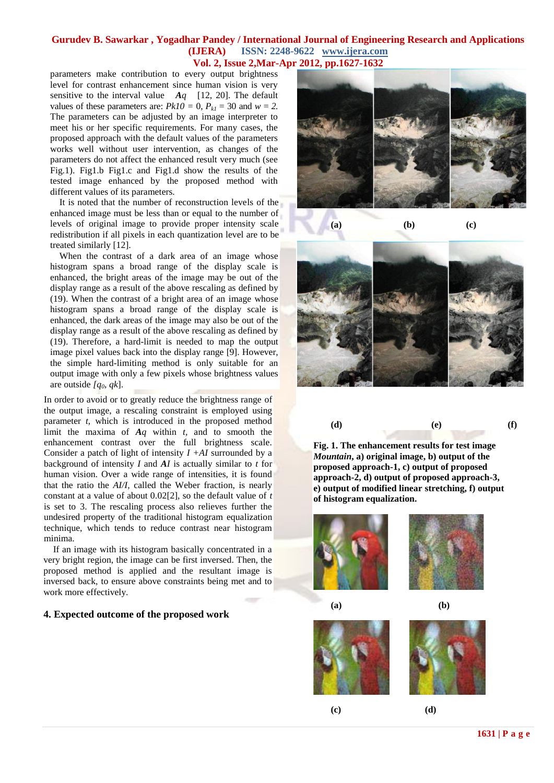parameters make contribution to every output brightness level for contrast enhancement since human vision is very sensitive to the interval value *Aq* [12, 20]. The default values of these parameters are:  $Pk10 = 0$ ,  $P_{kl} = 30$  and  $w = 2$ . The parameters can be adjusted by an image interpreter to meet his or her specific requirements. For many cases, the proposed approach with the default values of the parameters works well without user intervention, as changes of the parameters do not affect the enhanced result very much (see Fig.1). Fig1.b Fig1.c and Fig1.d show the results of the tested image enhanced by the proposed method with different values of its parameters.

It is noted that the number of reconstruction levels of the enhanced image must be less than or equal to the number of levels of original image to provide proper intensity scale redistribution if all pixels in each quantization level are to be treated similarly [12].

When the contrast of a dark area of an image whose histogram spans a broad range of the display scale is enhanced, the bright areas of the image may be out of the display range as a result of the above rescaling as defined by (19). When the contrast of a bright area of an image whose histogram spans a broad range of the display scale is enhanced, the dark areas of the image may also be out of the display range as a result of the above rescaling as defined by (19). Therefore, a hard-limit is needed to map the output image pixel values back into the display range [9]. However, the simple hard-limiting method is only suitable for an output image with only a few pixels whose brightness values are outside *[q0, qk*].

In order to avoid or to greatly reduce the brightness range of the output image, a rescaling constraint is employed using parameter *t,* which is introduced in the proposed method limit the maxima of *Aq* within *t,* and to smooth the enhancement contrast over the full brightness scale. Consider a patch of light of intensity *I +AI* surrounded by a background of intensity *I* and *AI* is actually similar to *t* for human vision. Over a wide range of intensities, it is found that the ratio the *AI/I,* called the Weber fraction, is nearly constant at a value of about 0.02[2], so the default value of *t*  is set to 3. The rescaling process also relieves further the undesired property of the traditional histogram equalization technique, which tends to reduce contrast near histogram minima.

If an image with its histogram basically concentrated in a very bright region, the image can be first inversed. Then, the proposed method is applied and the resultant image is inversed back, to ensure above constraints being met and to work more effectively.

# **4. Expected outcome of the proposed work**



**(a) (b) (c)**



**(d) (e) (f)**

**Fig. 1. The enhancement results for test image**  *Mountain***, a) original image, b) output of the proposed approach-1, c) output of proposed approach-2, d) output of proposed approach-3, e) output of modified linear stretching, f) output of histogram equalization.**







**(a) (b)**



**(c) (d)**